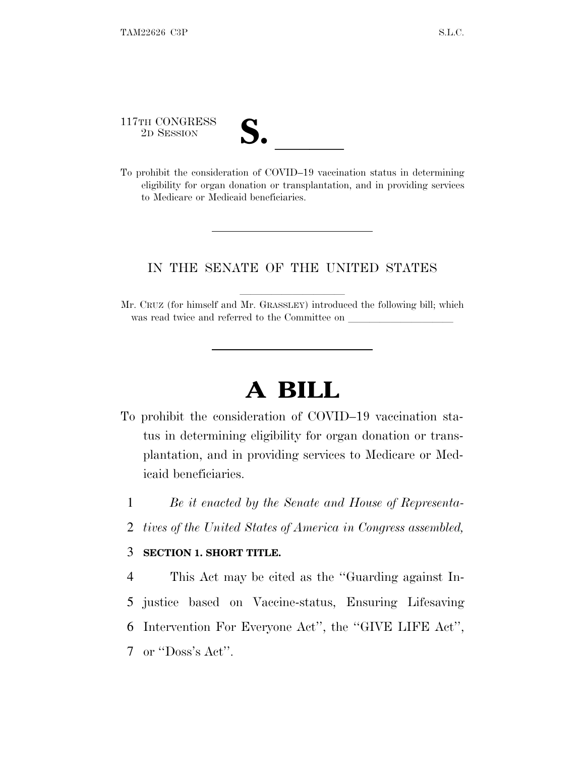117TH CONGRESS

| $\blacksquare$          |  |
|-------------------------|--|
| $\overline{\mathsf{v}}$ |  |

117TH CONGRESS<br>
2D SESSION<br>
To prohibit the consideration of COVID–19 vaccination status in determining eligibility for organ donation or transplantation, and in providing services to Medicare or Medicaid beneficiaries.

## IN THE SENATE OF THE UNITED STATES

Mr. CRUZ (for himself and Mr. GRASSLEY) introduced the following bill; which was read twice and referred to the Committee on

## **A BILL**

- To prohibit the consideration of COVID–19 vaccination status in determining eligibility for organ donation or transplantation, and in providing services to Medicare or Medicaid beneficiaries.
	- 1 *Be it enacted by the Senate and House of Representa-*
	- 2 *tives of the United States of America in Congress assembled,*

## 3 **SECTION 1. SHORT TITLE.**

 This Act may be cited as the ''Guarding against In- justice based on Vaccine-status, Ensuring Lifesaving Intervention For Everyone Act'', the ''GIVE LIFE Act'', or ''Doss's Act''.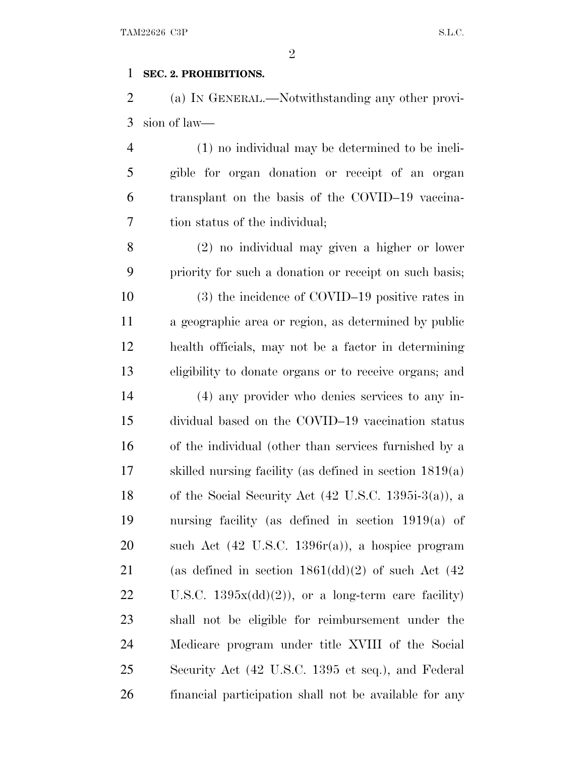## **SEC. 2. PROHIBITIONS.**

 (a) I<sup>N</sup> GENERAL.—Notwithstanding any other provi-sion of law—

 (1) no individual may be determined to be ineli- gible for organ donation or receipt of an organ transplant on the basis of the COVID–19 vaccina-tion status of the individual;

 (2) no individual may given a higher or lower priority for such a donation or receipt on such basis; (3) the incidence of COVID–19 positive rates in a geographic area or region, as determined by public health officials, may not be a factor in determining eligibility to donate organs or to receive organs; and

 (4) any provider who denies services to any in- dividual based on the COVID–19 vaccination status of the individual (other than services furnished by a skilled nursing facility (as defined in section 1819(a) of the Social Security Act (42 U.S.C. 1395i-3(a)), a nursing facility (as defined in section 1919(a) of such Act (42 U.S.C. 1396r(a)), a hospice program 21 (as defined in section  $1861(\mathrm{dd})(2)$  of such Act  $(42)$ 22 U.S.C.  $1395x(\mathrm{dd})(2)$ , or a long-term care facility) shall not be eligible for reimbursement under the Medicare program under title XVIII of the Social Security Act (42 U.S.C. 1395 et seq.), and Federal financial participation shall not be available for any